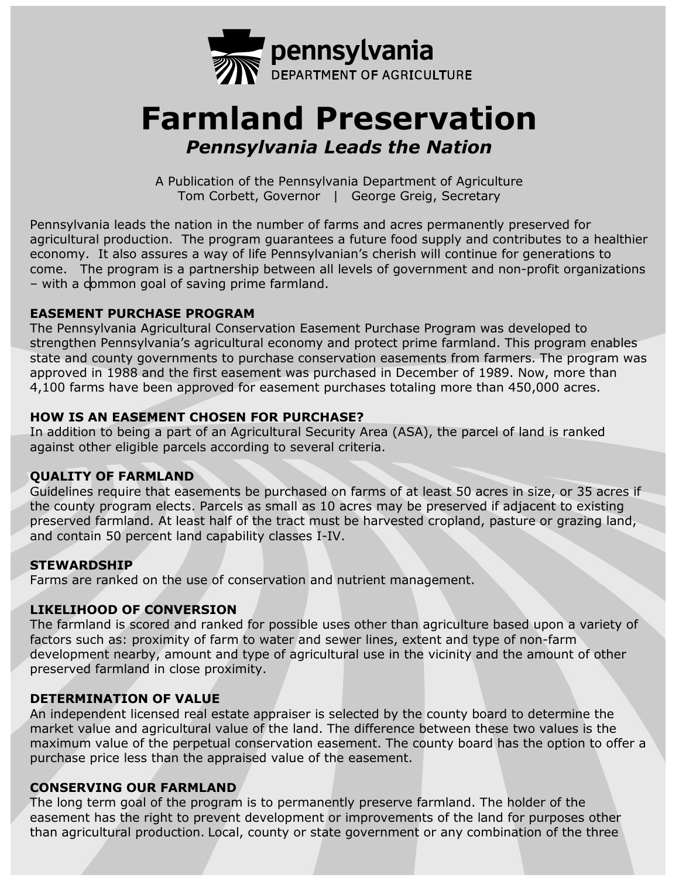

# **Farmland Preservation** *Pennsylvania Leads the Nation*

A Publication of the Pennsylvania Department of Agriculture Tom Corbett, Governor | George Greig, Secretary

Pennsylvania leads the nation in the number of farms and acres permanently preserved for agricultural production. The program guarantees a future food supply and contributes to a healthier economy. It also assures a way of life Pennsylvanian's cherish will continue for generations to come. The program is a partnership between all levels of government and non-profit organizations – with a common goal of saving prime farmland.

# **EASEMENT PURCHASE PROGRAM**

The Pennsylvania Agricultural Conservation Easement Purchase Program was developed to strengthen Pennsylvania's agricultural economy and protect prime farmland. This program enables state and county governments to purchase conservation easements from farmers. The program was approved in 1988 and the first easement was purchased in December of 1989. Now, more than 4,100 farms have been approved for easement purchases totaling more than 450,000 acres.

# **HOW IS AN EASEMENT CHOSEN FOR PURCHASE?**

In addition to being a part of an Agricultural Security Area (ASA), the parcel of land is ranked against other eligible parcels according to several criteria.

# **QUALITY OF FARMLAND**

Guidelines require that easements be purchased on farms of at least 50 acres in size, or 35 acres if the county program elects. Parcels as small as 10 acres may be preserved if adjacent to existing preserved farmland. At least half of the tract must be harvested cropland, pasture or grazing land, and contain 50 percent land capability classes I-IV.

#### **STEWARDSHIP**

Farms are ranked on the use of conservation and nutrient management.

# **LIKELIHOOD OF CONVERSION**

The farmland is scored and ranked for possible uses other than agriculture based upon a variety of factors such as: proximity of farm to water and sewer lines, extent and type of non-farm development nearby, amount and type of agricultural use in the vicinity and the amount of other preserved farmland in close proximity.

#### **DETERMINATION OF VALUE**

An independent licensed real estate appraiser is selected by the county board to determine the market value and agricultural value of the land. The difference between these two values is the maximum value of the perpetual conservation easement. The county board has the option to offer a purchase price less than the appraised value of the easement.

#### **CONSERVING OUR FARMLAND**

The long term goal of the program is to permanently preserve farmland. The holder of the easement has the right to prevent development or improvements of the land for purposes other than agricultural production. Local, county or state government or any combination of the three